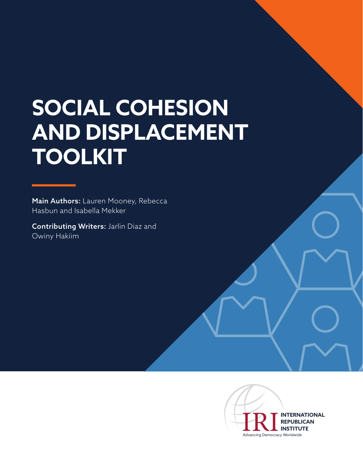# **SOCIAL COHESION AND DISPLACEMENT TOOLKIT**

Main Authors: Lauren Mooney, Rebecca Hasbun and Isabella Mekker

Contributing Writers: Jarlin Diaz and Owiny Hakiim

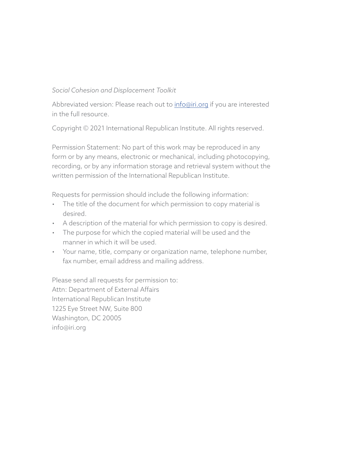### *Social Cohesion and Displacement Toolkit*

Abbreviated version: Please reach out to *info@iri.org* if you are interested in the full resource.

Copyright © 2021 International Republican Institute. All rights reserved.

Permission Statement: No part of this work may be reproduced in any form or by any means, electronic or mechanical, including photocopying, recording, or by any information storage and retrieval system without the written permission of the International Republican Institute.

Requests for permission should include the following information:

- The title of the document for which permission to copy material is desired.
- A description of the material for which permission to copy is desired.
- The purpose for which the copied material will be used and the manner in which it will be used.
- Your name, title, company or organization name, telephone number, fax number, email address and mailing address.

Please send all requests for permission to: Attn: Department of External Affairs International Republican Institute 1225 Eye Street NW, Suite 800 Washington, DC 20005 info@iri.org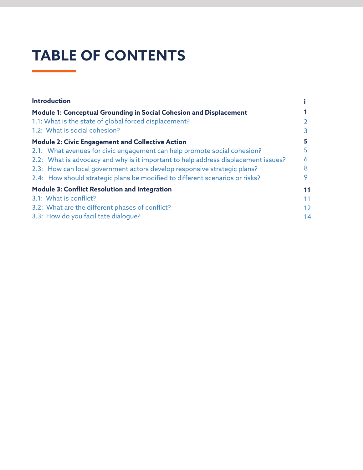## **TABLE OF CONTENTS**

| <b>Introduction</b>                                                                |    |
|------------------------------------------------------------------------------------|----|
| Module 1: Conceptual Grounding in Social Cohesion and Displacement                 |    |
| 1.1: What is the state of global forced displacement?                              |    |
| 1.2: What is social cohesion?                                                      |    |
| <b>Module 2: Civic Engagement and Collective Action</b>                            |    |
| 2.1: What avenues for civic engagement can help promote social cohesion?           |    |
| 2.2: What is advocacy and why is it important to help address displacement issues? | 6  |
| 2.3: How can local government actors develop responsive strategic plans?           |    |
| 2.4: How should strategic plans be modified to different scenarios or risks?       |    |
| <b>Module 3: Conflict Resolution and Integration</b>                               | 11 |
| 3.1: What is conflict?                                                             | 11 |
| 3.2: What are the different phases of conflict?                                    | 12 |
| 3.3: How do you facilitate dialoque?                                               | 14 |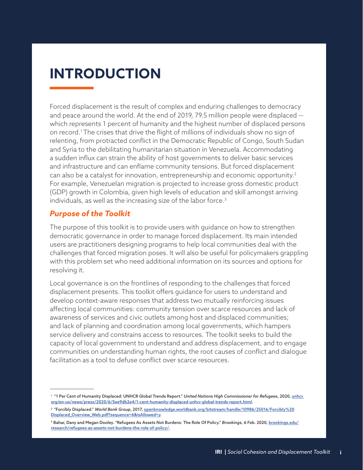## **INTRODUCTION**

Forced displacement is the result of complex and enduring challenges to democracy and peace around the world. At the end of 2019, 79.5 million people were displaced which represents 1 percent of humanity and the highest number of displaced persons on record.1 The crises that drive the flight of millions of individuals show no sign of relenting, from protracted conflict in the Democratic Republic of Congo, South Sudan and Syria to the debilitating humanitarian situation in Venezuela. Accommodating a sudden influx can strain the ability of host governments to deliver basic services and infrastructure and can enflame community tensions. But forced displacement can also be a catalyst for innovation, entrepreneurship and economic opportunity.<sup>2</sup> For example, Venezuelan migration is projected to increase gross domestic product (GDP) growth in Colombia, given high levels of education and skill amongst arriving individuals, as well as the increasing size of the labor force. $^3$ 

### *Purpose of the Toolkit*

The purpose of this toolkit is to provide users with guidance on how to strengthen democratic governance in order to manage forced displacement. Its main intended users are practitioners designing programs to help local communities deal with the challenges that forced migration poses. It will also be useful for policymakers grappling with this problem set who need additional information on its sources and options for resolving it.

Local governance is on the frontlines of responding to the challenges that forced displacement presents. This toolkit offers guidance for users to understand and develop context-aware responses that address two mutually reinforcing issues affecting local communities: community tension over scarce resources and lack of awareness of services and civic outlets among host and displaced communities; and lack of planning and coordination among local governments, which hampers service delivery and constrains access to resources. The toolkit seeks to build the capacity of local government to understand and address displacement, and to engage communities on understanding human rights, the root causes of conflict and dialogue facilitation as a tool to defuse conflict over scarce resources.

<sup>&</sup>lt;sup>1</sup> "1 Per Cent of Humanity Displaced: UNHCR Global Trends Report." *United Nations High Commissioner for Refugees*, 2020, <u>unhcr.</u> org/en-us/news/press/2020/6/5ee9db2e4/1-cent-humanity-displaced-unhcr-global-trends-report.html.

<sup>2 &</sup>quot;Forcibly Displaced." *World Bank Group*, 2017, openknowledge.worldbank.org/bitstream/handle/10986/25016/Forcibly%20 Displaced\_Overview\_Web.pdf?sequence=6&isAllowed=y.

<sup>3</sup> Bahar, Dany and Megan Dooley. "Refugees As Assets Not Burdens: The Role Of Policy." *Brookings*, 6 Feb. 2020, brookings.edu/ research/refugees-as-assets-not-burdens-the-role-of-policy/.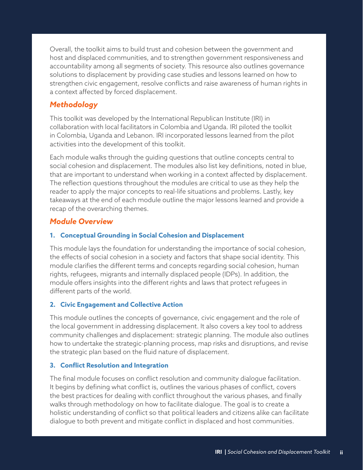Overall, the toolkit aims to build trust and cohesion between the government and host and displaced communities, and to strengthen government responsiveness and accountability among all segments of society. This resource also outlines governance solutions to displacement by providing case studies and lessons learned on how to strengthen civic engagement, resolve conflicts and raise awareness of human rights in a context affected by forced displacement.

## *Methodology*

This toolkit was developed by the International Republican Institute (IRI) in collaboration with local facilitators in Colombia and Uganda. IRI piloted the toolkit in Colombia, Uganda and Lebanon. IRI incorporated lessons learned from the pilot activities into the development of this toolkit.

Each module walks through the guiding questions that outline concepts central to social cohesion and displacement. The modules also list key definitions, noted in blue, that are important to understand when working in a context affected by displacement. The reflection questions throughout the modules are critical to use as they help the reader to apply the major concepts to real-life situations and problems. Lastly, key takeaways at the end of each module outline the major lessons learned and provide a recap of the overarching themes.

### *Module Overview*

#### **1. Conceptual Grounding in Social Cohesion and Displacement**

This module lays the foundation for understanding the importance of social cohesion, the effects of social cohesion in a society and factors that shape social identity. This module clarifies the different terms and concepts regarding social cohesion, human rights, refugees, migrants and internally displaced people (IDPs). In addition, the module offers insights into the different rights and laws that protect refugees in different parts of the world.

#### **2. Civic Engagement and Collective Action**

This module outlines the concepts of governance, civic engagement and the role of the local government in addressing displacement. It also covers a key tool to address community challenges and displacement: strategic planning. The module also outlines how to undertake the strategic-planning process, map risks and disruptions, and revise the strategic plan based on the fluid nature of displacement.

#### **3. Conflict Resolution and Integration**

The final module focuses on conflict resolution and community dialogue facilitation. It begins by defining what conflict is, outlines the various phases of conflict, covers the best practices for dealing with conflict throughout the various phases, and finally walks through methodology on how to facilitate dialogue. The goal is to create a holistic understanding of conflict so that political leaders and citizens alike can facilitate dialogue to both prevent and mitigate conflict in displaced and host communities.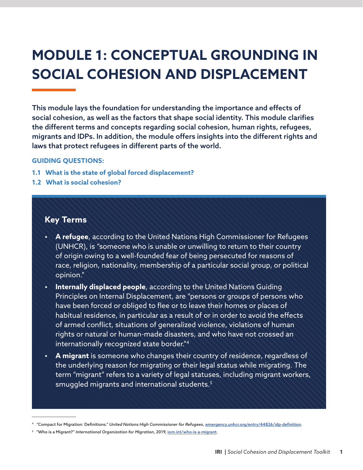## **MODULE 1: CONCEPTUAL GROUNDING IN SOCIAL COHESION AND DISPLACEMENT**

This module lays the foundation for understanding the importance and effects of social cohesion, as well as the factors that shape social identity. This module clarifies the different terms and concepts regarding social cohesion, human rights, refugees, migrants and IDPs. In addition, the module offers insights into the different rights and laws that protect refugees in different parts of the world.

#### **GUIDING QUESTIONS:**

- **1.1 What is the state of global forced displacement?**
- **1.2 What is social cohesion?**

## **Key Terms**

- **• A refugee**, according to the United Nations High Commissioner for Refugees (UNHCR), is "someone who is unable or unwilling to return to their country of origin owing to a well-founded fear of being persecuted for reasons of race, religion, nationality, membership of a particular social group, or political opinion."
- **• Internally displaced people**, according to the United Nations Guiding Principles on Internal Displacement, are "persons or groups of persons who have been forced or obliged to flee or to leave their homes or places of habitual residence, in particular as a result of or in order to avoid the effects of armed conflict, situations of generalized violence, violations of human rights or natural or human-made disasters, and who have not crossed an internationally recognized state border."4
- **• A migrant** is someone who changes their country of residence, regardless of the underlying reason for migrating or their legal status while migrating. The term "migrant" refers to a variety of legal statuses, including migrant workers, smuggled migrants and international students.<sup>5</sup>

<sup>4 &</sup>quot;Compact for Migration: Definitions." *United Nations High Commissioner for Refugees*, emergency.unhcr.org/entry/44826/idp-definition.

<sup>5</sup> "Who is a Migrant?" *International Organization for Migration*, 2019, iom.int/who-is-a-migrant.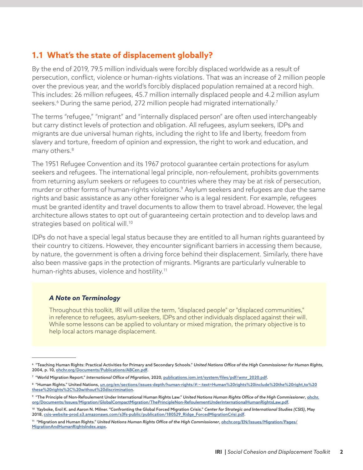## **1.1 What's the state of displacement globally?**

By the end of 2019, 79.5 million individuals were forcibly displaced worldwide as a result of persecution, conflict, violence or human-rights violations. That was an increase of 2 million people over the previous year, and the world's forcibly displaced population remained at a record high. This includes: 26 million refugees, 45.7 million internally displaced people and 4.2 million asylum seekers.<sup>6</sup> During the same period, 272 million people had migrated internationally.<sup>7</sup>

The terms "refugee," "migrant" and "internally displaced person" are often used interchangeably but carry distinct levels of protection and obligation. All refugees, asylum seekers, IDPs and migrants are due universal human rights, including the right to life and liberty, freedom from slavery and torture, freedom of opinion and expression, the right to work and education, and many others.8

The 1951 Refugee Convention and its 1967 protocol guarantee certain protections for asylum seekers and refugees. The international legal principle, non-refoulement, prohibits governments from returning asylum seekers or refugees to countries where they may be at risk of persecution, murder or other forms of human-rights violations.9 Asylum seekers and refugees are due the same rights and basic assistance as any other foreigner who is a legal resident. For example, refugees must be granted identity and travel documents to allow them to travel abroad. However, the legal architecture allows states to opt out of guaranteeing certain protection and to develop laws and strategies based on political will.<sup>10</sup>

IDPs do not have a special legal status because they are entitled to all human rights guaranteed by their country to citizens. However, they encounter significant barriers in accessing them because, by nature, the government is often a driving force behind their displacement. Similarly, there have also been massive gaps in the protection of migrants. Migrants are particularly vulnerable to human-rights abuses, violence and hostility.<sup>11</sup>

#### *A Note on Terminology*

Throughout this toolkit, IRI will utilize the term, "displaced people" or "displaced communities," in reference to refugees, asylum-seekers, IDPs and other individuals displaced against their will. While some lessons can be applied to voluntary or mixed migration, the primary objective is to help local actors manage displacement.

<sup>6 &</sup>quot;Teaching Human Rights: Practical Activities for Primary and Secondary Schools." *United Nations Office of the High Commissioner for Human Rights*, 2004, p. 10, ohchr.org/Documents/Publications/ABCen.pdf.

<sup>7</sup> "World Migration Report." *International Office of Migration*, 2020, publications.iom.int/system/files/pdf/wmr\_2020.pdf.

<sup>8 &</sup>quot;Human Rights." United Nations, un.org/en/sections/issues-depth/human-rights/#:~:text=Human%20rights%20include%20the%20right,to%20 these%20rights%2C%20without%20discrimination.

<sup>9 &</sup>quot;The Principle of Non-Refoulement Under International Human Rights Law." *United Nations Human Rights Office of the High Commissioner*, ohchr. org/Documents/Issues/Migration/GlobalCompactMigration/ThePrincipleNon-RefoulementUnderInternationalHumanRightsLaw.pdf.

<sup>10</sup> Yayboke, Erol K. and Aaron N. Milner. "Confronting the Global Forced Migration Crisis." *Center for Strategic and International Studies (CSIS)*, May 2018, csis-website-prod.s3.amazonaws.com/s3fs-public/publication/180529\_Ridge\_ForcedMigrationCrisi.pdf.

<sup>11 &</sup>quot;Migration and Human Rights." United Nations Human Rights Office of the High Commissioner, ohchr.org/EN/Issues/Migration/Pages/ MigrationAndHumanRightsIndex.aspx.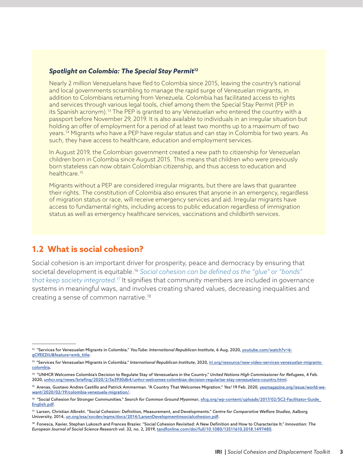#### *Spotlight on Colombia: The Special Stay Permit12*

Nearly 2 million Venezuelans have fled to Colombia since 2015, leaving the country's national and local governments scrambling to manage the rapid surge of Venezuelan migrants, in addition to Colombians returning from Venezuela. Colombia has facilitated access to rights and services through various legal tools, chief among them the Special Stay Permit (PEP in its Spanish acronym).13 The PEP is granted to any Venezuelan who entered the country with a passport before November 29, 2019. It is also available to individuals in an irregular situation but holding an offer of employment for a period of at least two months up to a maximum of two years.14 Migrants who have a PEP have regular status and can stay in Colombia for two years. As such, they have access to healthcare, education and employment services.

In August 2019, the Colombian government created a new path to citizenship for Venezuelan children born in Colombia since August 2015. This means that children who were previously born stateless can now obtain Colombian citizenship, and thus access to education and healthcare.<sup>15</sup>

Migrants without a PEP are considered irregular migrants, but there are laws that guarantee their rights. The constitution of Colombia also ensures that anyone in an emergency, regardless of migration status or race, will receive emergency services and aid. Irregular migrants have access to fundamental rights, including access to public education regardless of immigration status as well as emergency healthcare services, vaccinations and childbirth services.

## **1.2 What is social cohesion?**

Social cohesion is an important driver for prosperity, peace and democracy by ensuring that societal development is equitable.16 *Social cohesion can be defined as the "glue" or "bonds" that keep society integrated.17* It signifies that community members are included in governance systems in meaningful ways, and involves creating shared values, decreasing inequalities and creating a sense of common narrative.18

<sup>&</sup>lt;sup>12</sup> "Services for Venezuelan Migrants in Colombia." *YouTube: International Republican Institute*, 6 Aug. 2020, <u>youtube.com/watch?v=6-</u> gClfEEZtU&feature=emb\_title.

<sup>&</sup>lt;sup>13</sup> "Services for Venezuelan Migrants in Colombia." International Republican Institute, 2020, ini.org/resource/new-video-services-venezuelan-migrantscolombia.

<sup>14 &</sup>quot;UNHCR Welcomes Colombia's Decision to Regulate Stay of Venezuelans in the Country." *United Nations High Commissioner for Refugee*s, 4 Feb. 2020, unhcr.org/news/briefing/2020/2/5e3930db4/unhcr-welcomes-colombias-decision-regularize-stay-venezuelans-country.html.

<sup>15</sup> Arenas, Gustavo Andres Castillo and Patrick Ammerman. "A Country That Welcomes Migration." *Yes!* 19 Feb. 2020, yesmagazine.org/issue/world-wewant/2020/02/19/colombia-venezuela-migration/.

<sup>&</sup>lt;sup>16</sup> "Social Cohesion for Stronger Communities." Search for Common Ground Myanmar, sfcg.org/wp-content/uploads/2017/02/SC2-Facilitator-Guide\_ English.pdf.

<sup>17</sup> Larsen, Christian Albrekt. "Social Cohesion: Definition, Measurement, and Developments." *Centre for Comparative Welfare Studies*, Aalborg University, 2014, un.org/esa/socdev/egms/docs/2014/LarsenDevelopmentinsocialcohesion.pdf.

<sup>18</sup> Fonesca, Xavier, Stephan Lukosch and Frances Brazier. "Social Cohesion Revisited: A New Definition and How to Characterize It." *Innovation: The European Journal of Social Science Research* vol. 32, no. 2, 2019, tandfonline.com/doi/full/10.1080/13511610.2018.1497480.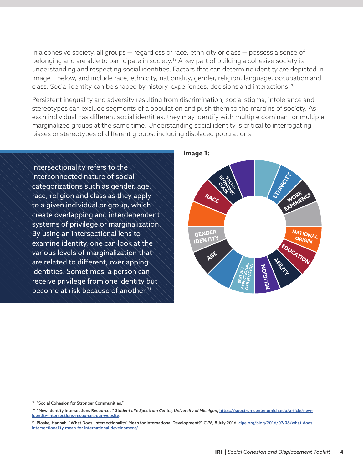In a cohesive society, all groups — regardless of race, ethnicity or class — possess a sense of belonging and are able to participate in society.<sup>19</sup> A key part of building a cohesive society is understanding and respecting social identities. Factors that can determine identity are depicted in Image 1 below, and include race, ethnicity, nationality, gender, religion, language, occupation and class. Social identity can be shaped by history, experiences, decisions and interactions.20

Persistent inequality and adversity resulting from discrimination, social stigma, intolerance and stereotypes can exclude segments of a population and push them to the margins of society. As each individual has different social identities, they may identify with multiple dominant or multiple marginalized groups at the same time. Understanding social identity is critical to interrogating biases or stereotypes of different groups, including displaced populations.

Intersectionality refers to the interconnected nature of social categorizations such as gender, age, race, religion and class as they apply to a given individual or group, which create overlapping and interdependent systems of privilege or marginalization. By using an intersectional lens to examine identity, one can look at the various levels of marginalization that are related to different, overlapping identities. Sometimes, a person can receive privilege from one identity but become at risk because of another.<sup>21</sup>



**Image 1:**

<sup>&</sup>lt;sup>19</sup> "Social Cohesion for Stronger Communities."

<sup>&</sup>lt;sup>20</sup> "New Identity Intersections Resources." Student Life Spectrum Center, University of Michigan, https://spectrumcenter.umich.edu/article/newidentity-intersections-resources-our-website.

<sup>21</sup> Pioske, Hannah. "What Does 'Intersectionality' Mean for International Development?" *CIPE*, 8 July 2016, cipe.org/blog/2016/07/08/what-doesintersectionality-mean-for-international-development/.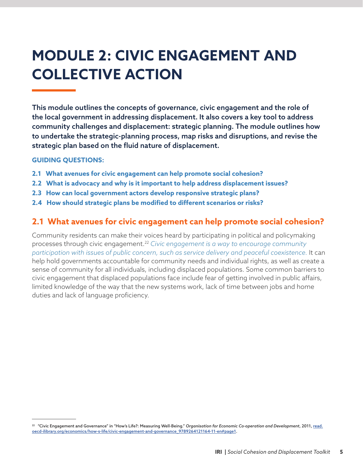## **MODULE 2: CIVIC ENGAGEMENT AND COLLECTIVE ACTION**

This module outlines the concepts of governance, civic engagement and the role of the local government in addressing displacement. It also covers a key tool to address community challenges and displacement: strategic planning. The module outlines how to undertake the strategic-planning process, map risks and disruptions, and revise the strategic plan based on the fluid nature of displacement.

#### **GUIDING QUESTIONS:**

- **2.1 What avenues for civic engagement can help promote social cohesion?**
- **2.2 What is advocacy and why is it important to help address displacement issues?**
- **2.3 How can local government actors develop responsive strategic plans?**
- **2.4 How should strategic plans be modified to different scenarios or risks?**

## **2.1 What avenues for civic engagement can help promote social cohesion?**

Community residents can make their voices heard by participating in political and policymaking processes through civic engagement.22 *Civic engagement is a way to encourage community participation with issues of public concern, such as service delivery and peaceful coexistence.* It can help hold governments accountable for community needs and individual rights, as well as create a sense of community for all individuals, including displaced populations. Some common barriers to civic engagement that displaced populations face include fear of getting involved in public affairs, limited knowledge of the way that the new systems work, lack of time between jobs and home duties and lack of language proficiency.

<sup>22 &</sup>quot;Civic Engagement and Governance" in "How's Life?: Measuring Well-Being." *Organisation for Economic Co-operation and Development*, 2011, read. oecd-ilibrary.org/economics/how-s-life/civic-engagement-and-governance\_9789264121164-11-en#page1.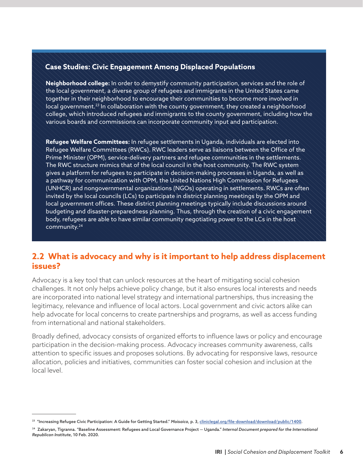#### **Case Studies: Civic Engagement Among Displaced Populations**

**Neighborhood college:** In order to demystify community participation, services and the role of the local government, a diverse group of refugees and immigrants in the United States came together in their neighborhood to encourage their communities to become more involved in local government.<sup>23</sup> In collaboration with the county government, they created a neighborhood college, which introduced refugees and immigrants to the county government, including how the various boards and commissions can incorporate community input and participation.

**Refugee Welfare Committees:** In refugee settlements in Uganda, individuals are elected into Refugee Welfare Committees (RWCs). RWC leaders serve as liaisons between the Office of the Prime Minister (OPM), service-delivery partners and refugee communities in the settlements. The RWC structure mimics that of the local council in the host community. The RWC system gives a platform for refugees to participate in decision-making processes in Uganda, as well as a pathway for communication with OPM, the United Nations High Commission for Refugees (UNHCR) and nongovernmental organizations (NGOs) operating in settlements. RWCs are often invited by the local councils (LCs) to participate in district planning meetings by the OPM and local government offices. These district planning meetings typically include discussions around budgeting and disaster-preparedness planning. Thus, through the creation of a civic engagement body, refugees are able to have similar community negotiating power to the LCs in the host community.24

## **2.2 What is advocacy and why is it important to help address displacement issues?**

Advocacy is a key tool that can unlock resources at the heart of mitigating social cohesion challenges. It not only helps achieve policy change, but it also ensures local interests and needs are incorporated into national level strategy and international partnerships, thus increasing the legitimacy, relevance and influence of local actors. Local government and civic actors alike can help advocate for local concerns to create partnerships and programs, as well as access funding from international and national stakeholders.

Broadly defined, advocacy consists of organized efforts to influence laws or policy and encourage participation in the decision-making process. Advocacy increases community awareness, calls attention to specific issues and proposes solutions. By advocating for responsive laws, resource allocation, policies and initiatives, communities can foster social cohesion and inclusion at the local level.

<sup>23 &</sup>quot;Increasing Refugee Civic Participation: A Guide for Getting Started." *Moisaica*, p. 3, cliniclegal.org/file-download/download/public/1400.

<sup>24</sup> Zakaryan, Tigranna. "Baseline Assessment: Refugees and Local Governance Project — Uganda." *Internal Document prepared for the International Republican Institute*, 10 Feb. 2020.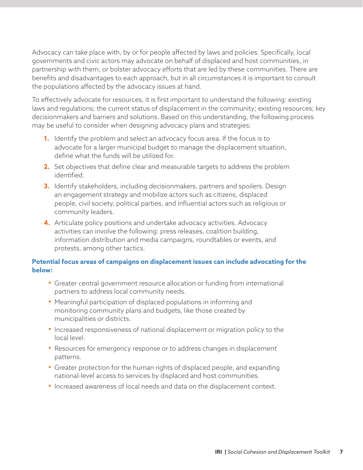Advocacy can take place with, by or for people affected by laws and policies. Specifically, local governments and civic actors may advocate on behalf of displaced and host communities, in partnership with them, or bolster advocacy efforts that are led by these communities. There are benefits and disadvantages to each approach, but in all circumstances it is important to consult the populations affected by the advocacy issues at hand.

To effectively advocate for resources, it is first important to understand the following: existing laws and regulations; the current status of displacement in the community; existing resources; key decisionmakers and barriers and solutions. Based on this understanding, the following process may be useful to consider when designing advocacy plans and strategies:

- **1.** Identify the problem and select an advocacy focus area. If the focus is to advocate for a larger municipal budget to manage the displacement situation, define what the funds will be utilized for.
- **2.** Set objectives that define clear and measurable targets to address the problem identified.
- **3.** Identify stakeholders, including decisionmakers, partners and spoilers. Design an engagement strategy and mobilize actors such as citizens, displaced people, civil society, political parties, and influential actors such as religious or community leaders.
- **4.** Articulate policy positions and undertake advocacy activities. Advocacy activities can involve the following: press releases, coalition building, information distribution and media campaigns, roundtables or events, and protests, among other tactics.

#### **Potential focus areas of campaigns on displacement issues can include advocating for the below:**

- Greater central government resource allocation or funding from international partners to address local community needs.
- Meaningful participation of displaced populations in informing and monitoring community plans and budgets, like those created by municipalities or districts.
- Increased responsiveness of national displacement or migration policy to the local level.
- Resources for emergency response or to address changes in displacement patterns.
- Greater protection for the human rights of displaced people, and expanding national-level access to services by displaced and host communities.
- Increased awareness of local needs and data on the displacement context.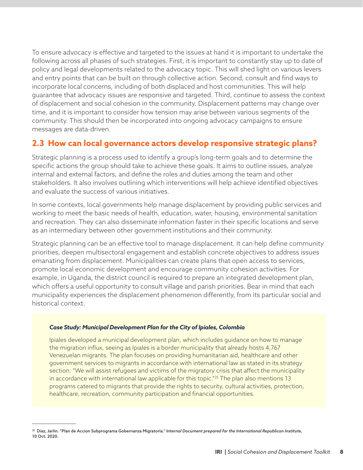To ensure advocacy is effective and targeted to the issues at hand it is important to undertake the following across all phases of such strategies. First, it is important to constantly stay up to date of policy and legal developments related to the advocacy topic. This will shed light on various levers and entry points that can be built on through collective action. Second, consult and find ways to incorporate local concerns, including of both displaced and host communities. This will help guarantee that advocacy issues are responsive and targeted. Third, continue to assess the context of displacement and social cohesion in the community. Displacement patterns may change over time, and it is important to consider how tension may arise between various segments of the community. This should then be incorporated into ongoing advocacy campaigns to ensure messages are data-driven.

## **2.3 How can local governance actors develop responsive strategic plans?**

Strategic planning is a process used to identify a group's long-term goals and to determine the specific actions the group should take to achieve these goals. It aims to outline issues, analyze internal and external factors, and define the roles and duties among the team and other stakeholders. It also involves outlining which interventions will help achieve identified objectives and evaluate the success of various initiatives.

In some contexts, local governments help manage displacement by providing public services and working to meet the basic needs of health, education, water, housing, environmental sanitation and recreation. They can also disseminate information faster in their specific locations and serve as an intermediary between other government institutions and their community.

Strategic planning can be an effective tool to manage displacement. It can help define community priorities, deepen multisectoral engagement and establish concrete objectives to address issues emanating from displacement. Municipalities can create plans that open access to services, promote local economic development and encourage community cohesion activities. For example, in Uganda, the district council is required to prepare an integrated development plan, which offers a useful opportunity to consult village and parish priorities. Bear in mind that each municipality experiences the displacement phenomenon differently, from its particular social and historical context.

#### *Case Study: Municipal Development Plan for the City of Ipiales, Colombia*

Ipiales developed a municipal development plan, which includes guidance on how to manage the migration influx, seeing as Ipiales is a border municipality that already hosts 4,767 Venezuelan migrants. The plan focuses on providing humanitarian aid, healthcare and other government services to migrants in accordance with international law as stated in its strategy section: "We will assist refugees and victims of the migratory crisis that affect the municipality in accordance with international law applicable for this topic."<sup>25</sup> The plan also mentions 13 programs catered to migrants that provide the rights to security, cultural activities, protection, healthcare, recreation, community participation and financial opportunities.

<sup>25</sup> Diaz, Jarlin. "Plan de Accion Subprograma Gobernanza Migratoria." *Internal Document prepared for the International Republican Institute*, 10 Oct. 2020.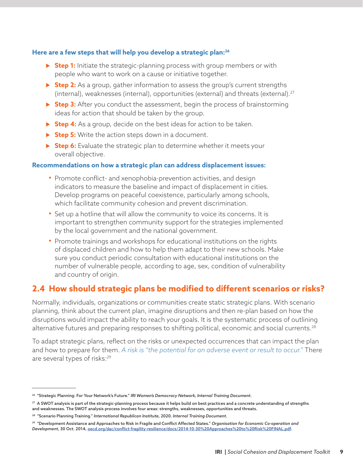#### **Here are a few steps that will help you develop a strategic plan:26**

- **Step 1:** Initiate the strategic-planning process with group members or with people who want to work on a cause or initiative together.
- **► Step 2:** As a group, gather information to assess the group's current strengths (internal), weaknesses (internal), opportunities (external) and threats (external).<sup>27</sup>
- **► Step 3:** After you conduct the assessment, begin the process of brainstorming ideas for action that should be taken by the group.
- **► Step 4:** As a group, decide on the best ideas for action to be taken.
- ▶ **Step 5:** Write the action steps down in a document.
- **Step 6:** Evaluate the strategic plan to determine whether it meets your overall objective.

#### **Recommendations on how a strategic plan can address displacement issues:**

- Promote conflict- and xenophobia-prevention activities, and design indicators to measure the baseline and impact of displacement in cities. Develop programs on peaceful coexistence, particularly among schools, which facilitate community cohesion and prevent discrimination.
- Set up a hotline that will allow the community to voice its concerns. It is important to strengthen community support for the strategies implemented by the local government and the national government.
- Promote trainings and workshops for educational institutions on the rights of displaced children and how to help them adapt to their new schools. Make sure you conduct periodic consultation with educational institutions on the number of vulnerable people, according to age, sex, condition of vulnerability and country of origin.

## **2.4 How should strategic plans be modified to different scenarios or risks?**

Normally, individuals, organizations or communities create static strategic plans. With scenario planning, think about the current plan, imagine disruptions and then re-plan based on how the disruptions would impact the ability to reach your goals. It is the systematic process of outlining alternative futures and preparing responses to shifting political, economic and social currents.<sup>28</sup>

To adapt strategic plans, reflect on the risks or unexpected occurrences that can impact the plan and how to prepare for them. *A risk is "the potential for an adverse event or result to occur."* There are several types of risks:29

<sup>26 &</sup>quot;Strategic Planning: For Your Network's Future." *IRI Women's Democracy Network, Internal Training Document*.

<sup>&</sup>lt;sup>27</sup> A SWOT analysis is part of the strategic-planning process because it helps build on best practices and a concrete understanding of strengths and weaknesses. The SWOT analysis process involves four areas: strengths, weaknesses, opportunities and threats.

<sup>28 &</sup>quot;Scenario Planning Training." *International Republican Institute*, 2020. *Internal Training Document*.

<sup>29 &</sup>quot;Development Assistance and Approaches to Risk in Fragile and Conflict Affected States." *Organisation for Economic Co-operation and Development*, 30 Oct. 2014, oecd.org/dac/conflict-fragility-resilience/docs/2014-10-30%20Approaches%20to%20Risk%20FINAL.pdf.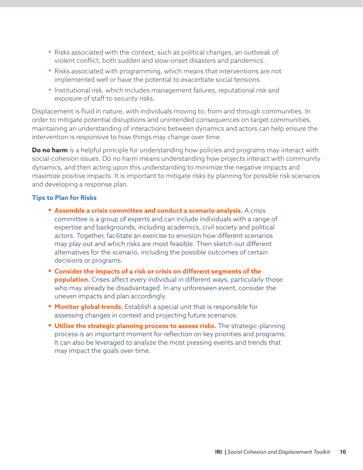- Risks associated with the context, such as political changes, an outbreak of violent conflict, both sudden and slow-onset disasters and pandemics.
- Risks associated with programming, which means that interventions are not implemented well or have the potential to exacerbate social tensions.
- Institutional risk, which includes management failures, reputational risk and exposure of staff to security risks.

Displacement is fluid in nature, with individuals moving to, from and through communities. In order to mitigate potential disruptions and unintended consequences on target communities, maintaining an understanding of interactions between dynamics and actors can help ensure the intervention is responsive to how things may change over time.

**Do no harm** is a helpful principle for understanding how policies and programs may interact with social-cohesion issues. Do no harm means understanding how projects interact with community dynamics, and then acting upon this understanding to minimize the negative impacts and maximize positive impacts. It is important to mitigate risks by planning for possible risk scenarios and developing a response plan.

#### **Tips to Plan for Risks**

- **• Assemble a crisis committee and conduct a scenario analysis.** A crisis committee is a group of experts and can include individuals with a range of expertise and backgrounds, including academics, civil society and political actors. Together, facilitate an exercise to envision how different scenarios may play out and which risks are most feasible. Then sketch out different alternatives for the scenario, including the possible outcomes of certain decisions or programs.
- **• Consider the impacts of a risk or crisis on different segments of the population.** Crises affect every individual in different ways, particularly those who may already be disadvantaged. In any unforeseen event, consider the uneven impacts and plan accordingly.
- **• Monitor global trends.** Establish a special unit that is responsible for assessing changes in context and projecting future scenarios.
- **• Utilize the strategic planning process to assess risks.** The strategic-planning process is an important moment for reflection on key priorities and programs. It can also be leveraged to analyze the most pressing events and trends that may impact the goals over time.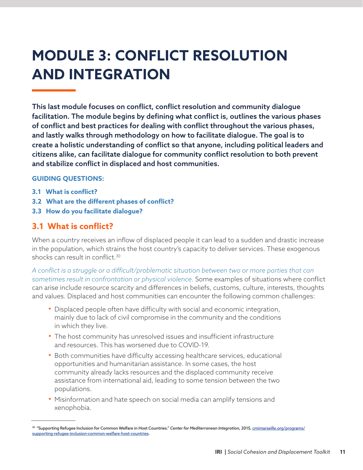## **MODULE 3: CONFLICT RESOLUTION AND INTEGRATION**

This last module focuses on conflict, conflict resolution and community dialogue facilitation. The module begins by defining what conflict is, outlines the various phases of conflict and best practices for dealing with conflict throughout the various phases, and lastly walks through methodology on how to facilitate dialogue. The goal is to create a holistic understanding of conflict so that anyone, including political leaders and citizens alike, can facilitate dialogue for community conflict resolution to both prevent and stabilize conflict in displaced and host communities.

#### **GUIDING QUESTIONS:**

- **3.1 What is conflict?**
- **3.2 What are the different phases of conflict?**
- **3.3 How do you facilitate dialogue?**

## **3.1 What is conflict?**

When a country receives an inflow of displaced people it can lead to a sudden and drastic increase in the population, which strains the host country's capacity to deliver services. These exogenous shocks can result in conflict.<sup>30</sup>

*A conflict is a struggle or a difficult/problematic situation between two or more parties that can sometimes result in confrontation or physical violence.* Some examples of situations where conflict can arise include resource scarcity and differences in beliefs, customs, culture, interests, thoughts and values. Displaced and host communities can encounter the following common challenges:

- Displaced people often have difficulty with social and economic integration, mainly due to lack of civil compromise in the community and the conditions in which they live.
- The host community has unresolved issues and insufficient infrastructure and resources. This has worsened due to COVID-19.
- Both communities have difficulty accessing healthcare services, educational opportunities and humanitarian assistance. In some cases, the host community already lacks resources and the displaced community receive assistance from international aid, leading to some tension between the two populations.
- Misinformation and hate speech on social media can amplify tensions and xenophobia.

<sup>30 &</sup>quot;Supporting Refugee Inclusion for Common Welfare in Host Countries." *Center for Mediterranean Integration,* 2015, cmimarseille.org/programs/ supporting-refugee-inclusion-common-welfare-host-countries.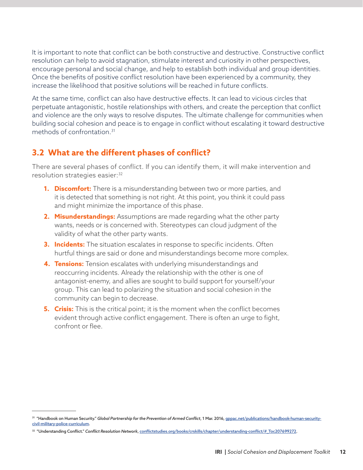It is important to note that conflict can be both constructive and destructive. Constructive conflict resolution can help to avoid stagnation, stimulate interest and curiosity in other perspectives, encourage personal and social change, and help to establish both individual and group identities. Once the benefits of positive conflict resolution have been experienced by a community, they increase the likelihood that positive solutions will be reached in future conflicts.

At the same time, conflict can also have destructive effects. It can lead to vicious circles that perpetuate antagonistic, hostile relationships with others, and create the perception that conflict and violence are the only ways to resolve disputes. The ultimate challenge for communities when building social cohesion and peace is to engage in conflict without escalating it toward destructive methods of confrontation.31

## **3.2 What are the different phases of conflict?**

There are several phases of conflict. If you can identify them, it will make intervention and resolution strategies easier:<sup>32</sup>

- **1. Discomfort:** There is a misunderstanding between two or more parties, and it is detected that something is not right. At this point, you think it could pass and might minimize the importance of this phase.
- **2. Misunderstandings:** Assumptions are made regarding what the other party wants, needs or is concerned with. Stereotypes can cloud judgment of the validity of what the other party wants.
- **3. Incidents:** The situation escalates in response to specific incidents. Often hurtful things are said or done and misunderstandings become more complex.
- **4. Tensions:** Tension escalates with underlying misunderstandings and reoccurring incidents. Already the relationship with the other is one of antagonist-enemy, and allies are sought to build support for yourself/your group. This can lead to polarizing the situation and social cohesion in the community can begin to decrease.
- **5. Crisis:** This is the critical point; it is the moment when the conflict becomes evident through active conflict engagement. There is often an urge to fight, confront or flee.

<sup>&</sup>lt;sup>31</sup> "Handbook on Human Security." Global Partnership for the Prevention of Armed Conflict, 1 Mar. 2016, gppac.net/publications/handbook-human-securitycivil-military-police-curriculum.

<sup>32 &</sup>quot;Understanding Conflict." *Conflict Resolution Network*, conflictstudies.org/books/crskills/chapter/understanding-conflict/#\_Toc207699272.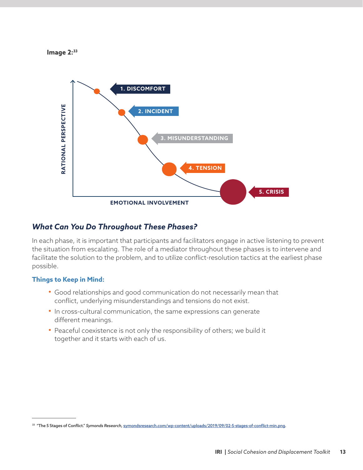**Image 2:33**



## *What Can You Do Throughout These Phases?*

In each phase, it is important that participants and facilitators engage in active listening to prevent the situation from escalating. The role of a mediator throughout these phases is to intervene and facilitate the solution to the problem, and to utilize conflict-resolution tactics at the earliest phase possible.

#### **Things to Keep in Mind:**

- Good relationships and good communication do not necessarily mean that conflict, underlying misunderstandings and tensions do not exist.
- In cross-cultural communication, the same expressions can generate different meanings.
- Peaceful coexistence is not only the responsibility of others; we build it together and it starts with each of us.

<sup>33 &</sup>quot;The 5 Stages of Conflict." *Symonds Research,* symondsresearch.com/wp-content/uploads/2019/09/02-5-stages-of-conflict-min.png.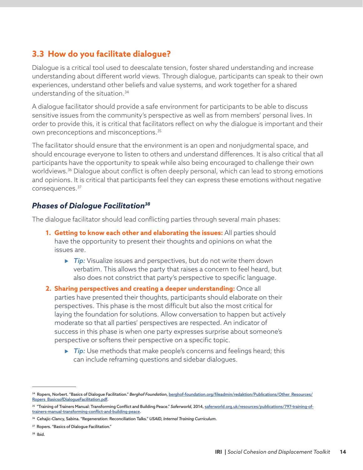## **3.3 How do you facilitate dialogue?**

Dialogue is a critical tool used to deescalate tension, foster shared understanding and increase understanding about different world views. Through dialogue, participants can speak to their own experiences, understand other beliefs and value systems, and work together for a shared understanding of the situation.34

A dialogue facilitator should provide a safe environment for participants to be able to discuss sensitive issues from the community's perspective as well as from members' personal lives. In order to provide this, it is critical that facilitators reflect on why the dialogue is important and their own preconceptions and misconceptions.35

The facilitator should ensure that the environment is an open and nonjudgmental space, and should encourage everyone to listen to others and understand differences. It is also critical that all participants have the opportunity to speak while also being encouraged to challenge their own worldviews.<sup>36</sup> Dialogue about conflict is often deeply personal, which can lead to strong emotions and opinions. It is critical that participants feel they can express these emotions without negative consequences.37

## *Phases of Dialogue Facilitation38*

The dialogue facilitator should lead conflicting parties through several main phases:

- **1. Getting to know each other and elaborating the issues:** All parties should have the opportunity to present their thoughts and opinions on what the issues are.
	- **Fip:** Visualize issues and perspectives, but do not write them down verbatim. This allows the party that raises a concern to feel heard, but also does not constrict that party's perspective to specific language.
- **2. Sharing perspectives and creating a deeper understanding:** Once all parties have presented their thoughts, participants should elaborate on their perspectives. This phase is the most difficult but also the most critical for laying the foundation for solutions. Allow conversation to happen but actively moderate so that all parties' perspectives are respected. An indicator of success in this phase is when one party expresses surprise about someone's perspective or softens their perspective on a specific topic.
	- **Fip:** Use methods that make people's concerns and feelings heard; this can include reframing questions and sidebar dialogues.

<sup>&</sup>lt;sup>34</sup> Ropers, Norbert. "Basics of Dialogue Facilitation." Berghof Foundation, berghof-foundation.org/fileadmin/redaktion/Publications/Other\_Resources/ Ropers\_BasicsofDialogueFacilitation.pdf.

<sup>&</sup>lt;sup>35</sup> "Training of Trainers Manual: Transforming Conflict and Building Peace." Saferworld, 2014, saferworld.org.uk/resources/publications/797-training-oftrainers-manual-transforming-conflict-and-building-peace.

<sup>36</sup> Cehajic-Clancy, Sabina. "Regeneration: Reconciliation Talks." *USAID, Internal Training Curriculum*.

<sup>&</sup>lt;sup>37</sup> Ropers. "Basics of Dialogue Facilitation."

<sup>38</sup> Ibid.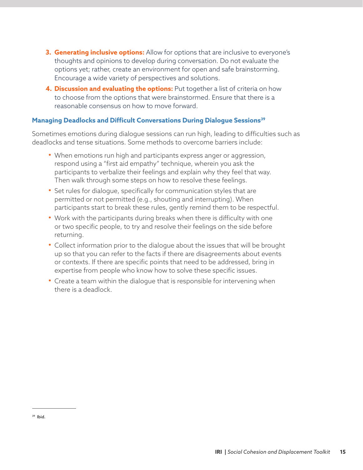- **3. Generating inclusive options:** Allow for options that are inclusive to everyone's thoughts and opinions to develop during conversation. Do not evaluate the options yet; rather, create an environment for open and safe brainstorming. Encourage a wide variety of perspectives and solutions.
- **4. Discussion and evaluating the options:** Put together a list of criteria on how to choose from the options that were brainstormed. Ensure that there is a reasonable consensus on how to move forward.

#### **Managing Deadlocks and Difficult Conversations During Dialogue Sessions39**

Sometimes emotions during dialogue sessions can run high, leading to difficulties such as deadlocks and tense situations. Some methods to overcome barriers include:

- When emotions run high and participants express anger or aggression, respond using a "first aid empathy" technique, wherein you ask the participants to verbalize their feelings and explain why they feel that way. Then walk through some steps on how to resolve these feelings.
- Set rules for dialogue, specifically for communication styles that are permitted or not permitted (e.g., shouting and interrupting). When participants start to break these rules, gently remind them to be respectful.
- Work with the participants during breaks when there is difficulty with one or two specific people, to try and resolve their feelings on the side before returning.
- Collect information prior to the dialogue about the issues that will be brought up so that you can refer to the facts if there are disagreements about events or contexts. If there are specific points that need to be addressed, bring in expertise from people who know how to solve these specific issues.
- Create a team within the dialogue that is responsible for intervening when there is a deadlock.